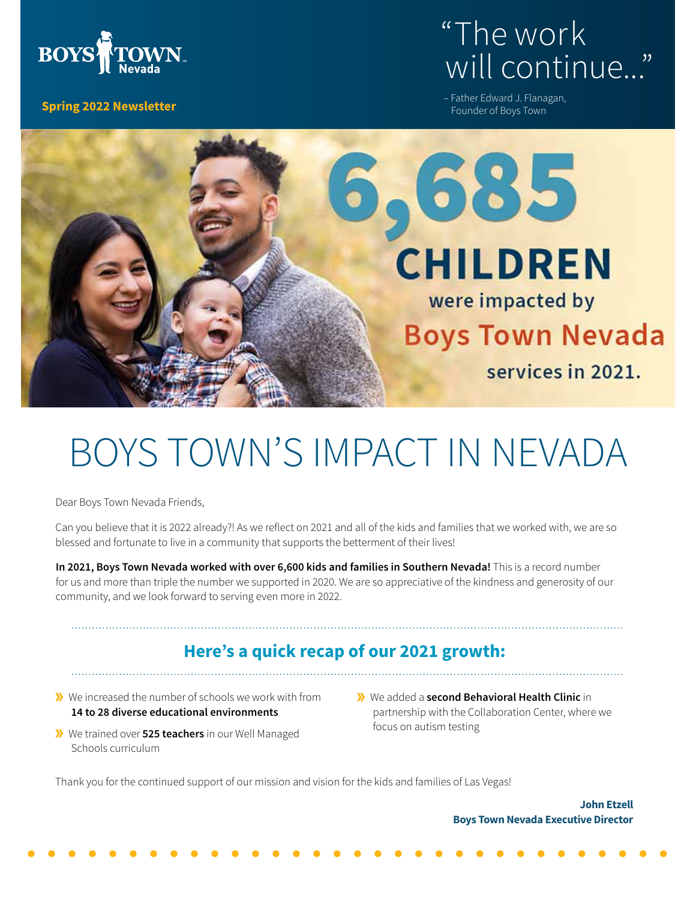

#### **Spring 2022 Newsletter**

# "The work will continue...'

– Father Edward J. Flanagan, Founder of Boys Town



# BOYS TOWN'S IMPACT IN NEVADA

Dear Boys Town Nevada Friends,

Can you believe that it is 2022 already?! As we reflect on 2021 and all of the kids and families that we worked with, we are so blessed and fortunate to live in a community that supports the betterment of their lives!

**In 2021, Boys Town Nevada worked with over 6,600 kids and families in Southern Nevada!** This is a record number for us and more than triple the number we supported in 2020. We are so appreciative of the kindness and generosity of our community, and we look forward to serving even more in 2022.

#### **Here's a quick recap of our 2021 growth:**

- We increased the number of schools we work with from **14 to 28 diverse educational environments**
- We trained over **525 teachers** in our Well Managed Schools curriculum
- We added a **second Behavioral Health Clinic** in partnership with the Collaboration Center, where we focus on autism testing

Thank you for the continued support of our mission and vision for the kids and families of Las Vegas!

**John Etzell Boys Town Nevada Executive Director**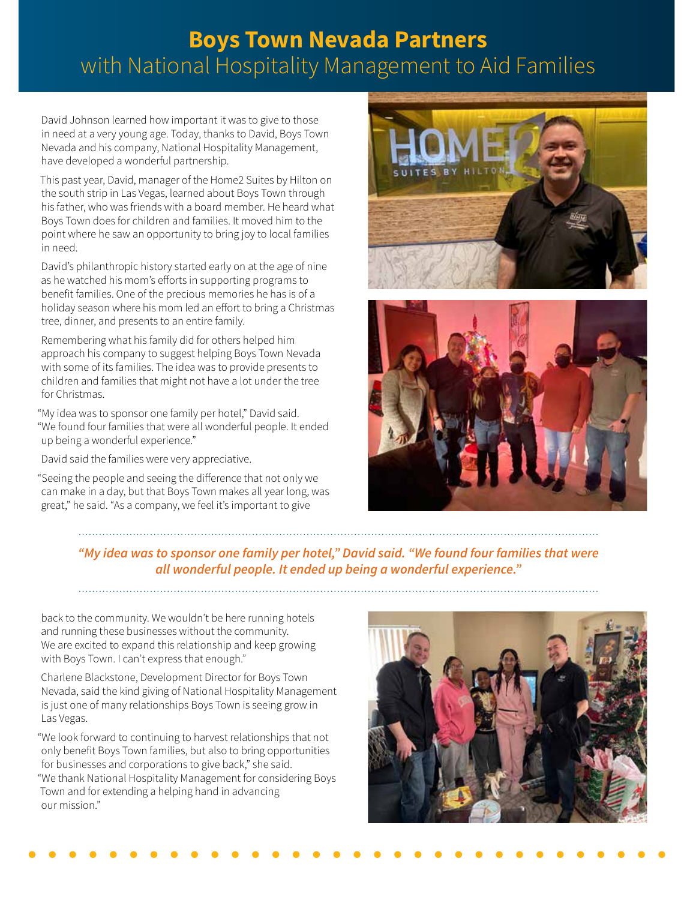#### **Boys Town Nevada Partners** with National Hospitality Management to Aid Families

David Johnson learned how important it was to give to those in need at a very young age. Today, thanks to David, Boys Town Nevada and his company, National Hospitality Management, have developed a wonderful partnership.

This past year, David, manager of the Home2 Suites by Hilton on the south strip in Las Vegas, learned about Boys Town through his father, who was friends with a board member. He heard what Boys Town does for children and families. It moved him to the point where he saw an opportunity to bring joy to local families in need.

David's philanthropic history started early on at the age of nine as he watched his mom's efforts in supporting programs to benefit families. One of the precious memories he has is of a holiday season where his mom led an effort to bring a Christmas tree, dinner, and presents to an entire family.

Remembering what his family did for others helped him approach his company to suggest helping Boys Town Nevada with some of its families. The idea was to provide presents to children and families that might not have a lot under the tree for Christmas.

"My idea was to sponsor one family per hotel," David said. "We found four families that were all wonderful people. It ended up being a wonderful experience."

David said the families were very appreciative.

"Seeing the people and seeing the difference that not only we can make in a day, but that Boys Town makes all year long, was great," he said. "As a company, we feel it's important to give





*"My idea was to sponsor one family per hotel," David said. "We found four families that were all wonderful people. It ended up being a wonderful experience."*

back to the community. We wouldn't be here running hotels and running these businesses without the community. We are excited to expand this relationship and keep growing with Boys Town. I can't express that enough."

Charlene Blackstone, Development Director for Boys Town Nevada, said the kind giving of National Hospitality Management is just one of many relationships Boys Town is seeing grow in Las Vegas.

"We look forward to continuing to harvest relationships that not only benefit Boys Town families, but also to bring opportunities for businesses and corporations to give back," she said. "We thank National Hospitality Management for considering Boys Town and for extending a helping hand in advancing our mission."

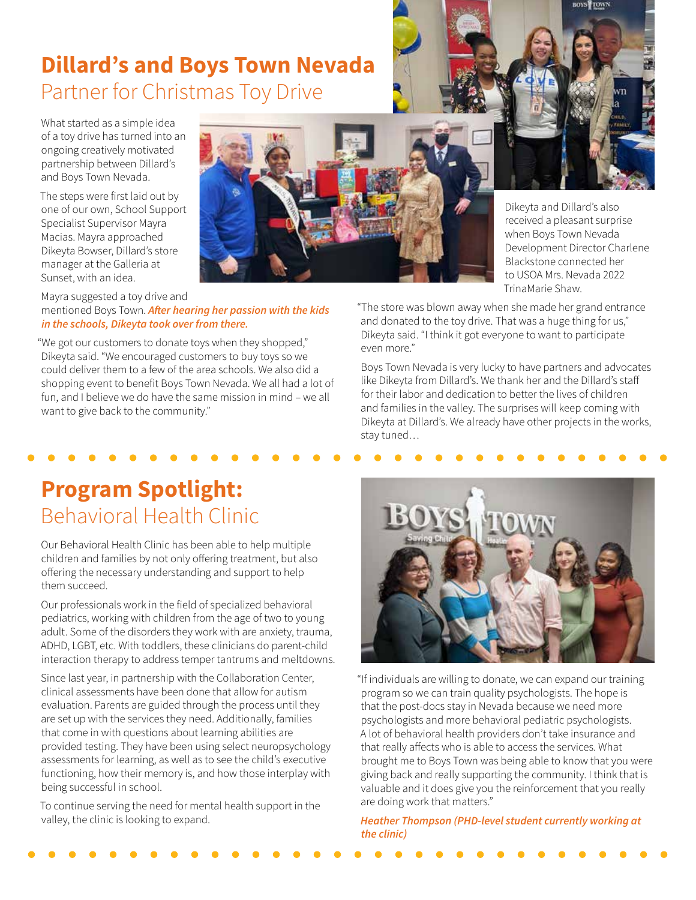### **Dillard's and Boys Town Nevada**  Partner for Christmas Toy Drive

What started as a simple idea of a toy drive has turned into an ongoing creatively motivated partnership between Dillard's and Boys Town Nevada.

The steps were first laid out by one of our own, School Support Specialist Supervisor Mayra Macias. Mayra approached Dikeyta Bowser, Dillard's store manager at the Galleria at Sunset, with an idea.



Mayra suggested a toy drive and mentioned Boys Town. *After hearing her passion with the kids in the schools, Dikeyta took over from there.*

"We got our customers to donate toys when they shopped," Dikeyta said. "We encouraged customers to buy toys so we could deliver them to a few of the area schools. We also did a shopping event to benefit Boys Town Nevada. We all had a lot of fun, and I believe we do have the same mission in mind – we all want to give back to the community."

Dikeyta and Dillard's also received a pleasant surprise when Boys Town Nevada Development Director Charlene Blackstone connected her to USOA Mrs. Nevada 2022 TrinaMarie Shaw.

"The store was blown away when she made her grand entrance and donated to the toy drive. That was a huge thing for us," Dikeyta said. "I think it got everyone to want to participate even more."

Boys Town Nevada is very lucky to have partners and advocates like Dikeyta from Dillard's. We thank her and the Dillard's staff for their labor and dedication to better the lives of children and families in the valley. The surprises will keep coming with Dikeyta at Dillard's. We already have other projects in the works, stay tuned…

## **Program Spotlight:**  Behavioral Health Clinic

Our Behavioral Health Clinic has been able to help multiple children and families by not only offering treatment, but also offering the necessary understanding and support to help them succeed.

Our professionals work in the field of specialized behavioral pediatrics, working with children from the age of two to young adult. Some of the disorders they work with are anxiety, trauma, ADHD, LGBT, etc. With toddlers, these clinicians do parent-child interaction therapy to address temper tantrums and meltdowns.

Since last year, in partnership with the Collaboration Center, clinical assessments have been done that allow for autism evaluation. Parents are guided through the process until they are set up with the services they need. Additionally, families that come in with questions about learning abilities are provided testing. They have been using select neuropsychology assessments for learning, as well as to see the child's executive functioning, how their memory is, and how those interplay with being successful in school.

To continue serving the need for mental health support in the valley, the clinic is looking to expand.



"If individuals are willing to donate, we can expand our training program so we can train quality psychologists. The hope is that the post-docs stay in Nevada because we need more psychologists and more behavioral pediatric psychologists. A lot of behavioral health providers don't take insurance and that really affects who is able to access the services. What brought me to Boys Town was being able to know that you were giving back and really supporting the community. I think that is valuable and it does give you the reinforcement that you really are doing work that matters."

*Heather Thompson (PHD-level student currently working at the clinic)*